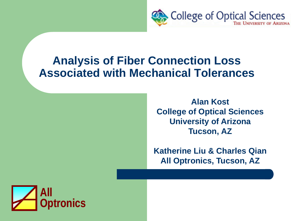

### **Analysis of Fiber Connection Loss Associated with Mechanical Tolerances**

**Alan Kost College of Optical Sciences University of Arizona Tucson, AZ**

**Katherine Liu & Charles Qian All Optronics, Tucson, AZ**

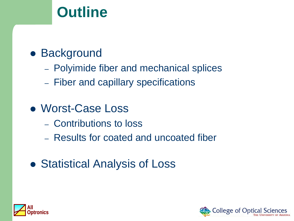# **Outline**

## **• Background**

- Polyimide fiber and mechanical splices
- Fiber and capillary specifications
- Worst-Case Loss
	- Contributions to loss
	- Results for coated and uncoated fiber
- Statistical Analysis of Loss



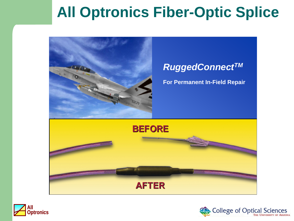# **All Optronics Fiber-Optic Splice**



### *RuggedConnectTM*

**For Permanent In-Field Repair**





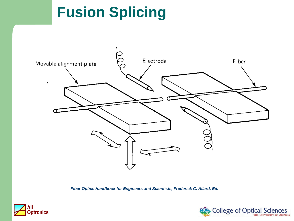# **Fusion Splicing**



*Fiber Optics Handbook for Engineers and Scientists, Frederick C. Allard, Ed.*



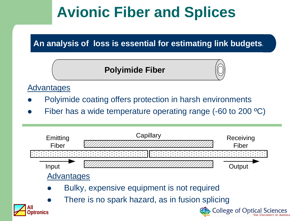# **Avionic Fiber and Splices**

### **An analysis of loss is essential for estimating link budgets.**

### **Polyimide Fiber**



#### **Advantages**

- Polyimide coating offers protection in harsh environments
- Fiber has a wide temperature operating range (-60 to 200 ºC)

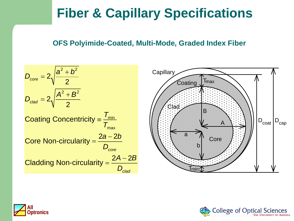## **Fiber & Capillary Specifications**

#### **OFS Polyimide-Coated, Multi-Mode, Graded Index Fiber**





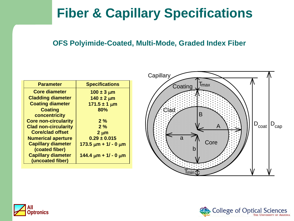## **Fiber & Capillary Specifications**

#### **OFS Polyimide-Coated, Multi-Mode, Graded Index Fiber**

| <b>Parameter</b>            | <b>Specifications</b>        |  |
|-----------------------------|------------------------------|--|
| <b>Core diameter</b>        | $100 \pm 3 \mu m$            |  |
| <b>Cladding diameter</b>    | $140 \pm 2 \mu m$            |  |
| <b>Coating diameter</b>     | $171.5 \pm 1 \,\mu m$        |  |
| <b>Coating</b>              | 80%                          |  |
| concentricity               |                              |  |
| <b>Core non-circularity</b> | 2%                           |  |
| <b>Clad non-circularity</b> | 2%                           |  |
| <b>Core/clad offset</b>     | $2 \mu m$                    |  |
| <b>Numerical aperture</b>   | $0.29 \pm 0.015$             |  |
| <b>Capillary diameter</b>   | $173.5 \mu m + 1/ - 0 \mu m$ |  |
| (coated fiber)              |                              |  |
| <b>Capillary diameter</b>   | $144.4 \mu m + 1/ - 0 \mu m$ |  |
| (uncoated fiber)            |                              |  |





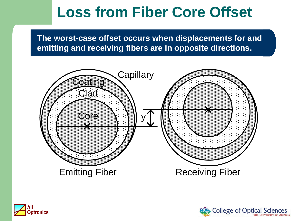# **Loss from Fiber Core Offset**

**The worst-case offset occurs when displacements for and emitting and receiving fibers are in opposite directions.**





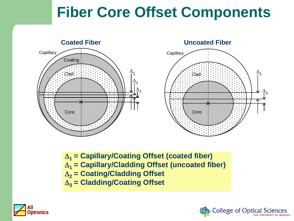# **Fiber Core Offset Components**



**Capillary**  $\Delta_1$  $\frac{\Delta}{13}$ Clad Core

∆**<sup>1</sup> = Capillary/Coating Offset (coated fiber)** ∆**<sup>1</sup> = Capillary/Cladding Offset (uncoated fiber)** ∆**<sup>2</sup> = Coating/Cladding Offset** ∆**<sup>3</sup> = Cladding/Coating Offset**



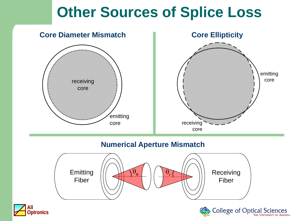# **Other Sources of Splice Loss**



#### **Numerical Aperture Mismatch**





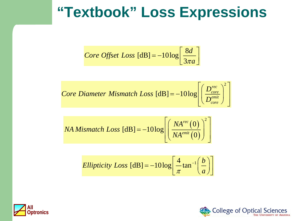## **"Textbook" Loss Expressions**

*Core Offset Loss* 
$$
[dB] = -10log \left[ \frac{8d}{3\pi a} \right]
$$

*Core Diameter Mismatch Loss* 
$$
[dB] = -10log \left[ \left( \frac{D_{core}^{rec}}{D_{core}^{emit}} \right)^2 \right]
$$

$$
NA\text{ Mismatch Loss} \text{ [dB]} = -10 \log \left[ \left( \frac{NA^{\text{rec}}(0)}{NA^{\text{emit}}(0)} \right)^2 \right]
$$

$$
Ellipticity Loss \text{ [dB]} = -10 \log \left[ \frac{4}{\pi} \tan^{-1} \left( \frac{b}{a} \right) \right]
$$



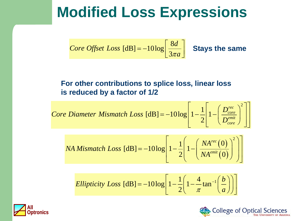# **Modified Loss Expressions**

*Core Offset Loss* [dB] = 
$$
-10 \log \left[ \frac{8d}{3\pi a} \right]
$$
 Stays the same

#### **For other contributions to splice loss, linear loss is reduced by a factor of 1/2**

*Core Diameter Mismatch Loss* 
$$
[dB] = -10log \left[ 1 - \frac{1}{2} \left[ 1 - \left( \frac{D_{core}^{rec}}{D_{core}^{emit}} \right)^2 \right] \right]
$$

NA Mismatch Loss [dB] = 
$$
-10 \log \left[ 1 - \frac{1}{2} \left( 1 - \left( \frac{NA^{rec}(0)}{NA^{emit}(0)} \right)^2 \right) \right]
$$

$$
Ellipticity Loss \text{ [dB]} = -10 \log \left[ 1 - \frac{1}{2} \left( 1 - \frac{4}{\pi} \tan^{-1} \left( \frac{b}{a} \right) \right) \right]
$$



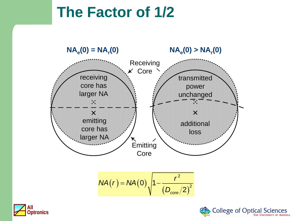# **The Factor of 1/2**







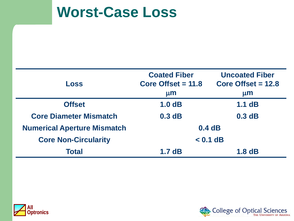## **Worst-Case Loss**

| <b>Loss</b>                        | <b>Coated Fiber</b><br>Core Offset $= 11.8$<br>$\mu$ m | <b>Uncoated Fiber</b><br>Core Offset $= 12.8$<br>$\mu$ m |
|------------------------------------|--------------------------------------------------------|----------------------------------------------------------|
| <b>Offset</b>                      | 1.0dB                                                  | $1.1$ dB                                                 |
| <b>Core Diameter Mismatch</b>      | 0.3 dB                                                 | 0.3 dB                                                   |
| <b>Numerical Aperture Mismatch</b> | 0.4dB                                                  |                                                          |
| <b>Core Non-Circularity</b>        | $< 0.1$ dB                                             |                                                          |
| <b>Total</b>                       | 1.7dB                                                  | 1.8dB                                                    |



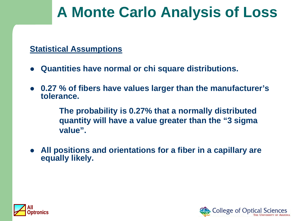# **A Monte Carlo Analysis of Loss**

#### **Statistical Assumptions**

- **Quantities have normal or chi square distributions.**
- **0.27 % of fibers have values larger than the manufacturer's tolerance.**

**The probability is 0.27% that a normally distributed quantity will have a value greater than the "3 sigma value".**

 **All positions and orientations for a fiber in a capillary are equally likely.**



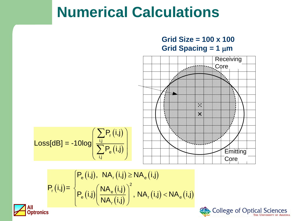# **Numerical Calculations**



College of Optical Sciences



$$
P_{r}(i,j)\text{=}\!\left\{\!\frac{\text{P}_{\text{e}}\left(i,j\right),\ \ \text{NA}_{r}\left(i,j\right)\text{ }\geq \text{NA}_{\text{e}}\left(i,j\right)}{\text{PA}_{\text{e}}\left(i,j\right)\!\right|^2,\ \ \text{NA}_{r}\left(i,j\right)\text{ }<\text{NA}_{\text{e}}\left(i,j\right)}
$$

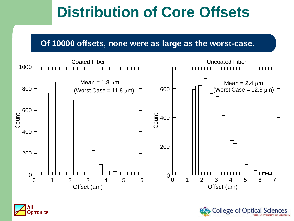# **Distribution of Core Offsets**

#### **Of 10000 offsets, none were as large as the worst-case.**



**College of Optical** 

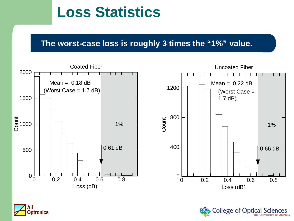# **Loss Statistics**

#### **The worst-case loss is roughly 3 times the "1%" value.**